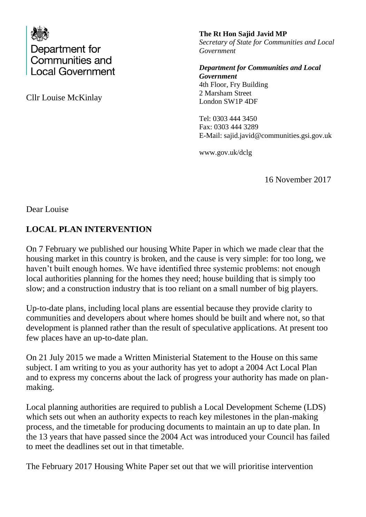

Cllr Louise McKinlay

**The Rt Hon Sajid Javid MP** *Secretary of State for Communities and Local Government*

*Department for Communities and Local Government* 4th Floor, Fry Building 2 Marsham Street London SW1P 4DF

Tel: 0303 444 3450 Fax: 0303 444 3289 E-Mail: sajid.javid@communities.gsi.gov.uk

www.gov.uk/dclg

16 November 2017

Dear Louise

## **LOCAL PLAN INTERVENTION**

On 7 February we published our housing White Paper in which we made clear that the housing market in this country is broken, and the cause is very simple: for too long, we haven't built enough homes. We have identified three systemic problems: not enough local authorities planning for the homes they need; house building that is simply too slow; and a construction industry that is too reliant on a small number of big players.

Up-to-date plans, including local plans are essential because they provide clarity to communities and developers about where homes should be built and where not, so that development is planned rather than the result of speculative applications. At present too few places have an up-to-date plan.

On 21 July 2015 we made a Written Ministerial Statement to the House on this same subject. I am writing to you as your authority has yet to adopt a 2004 Act Local Plan and to express my concerns about the lack of progress your authority has made on planmaking.

Local planning authorities are required to publish a Local Development Scheme (LDS) which sets out when an authority expects to reach key milestones in the plan-making process, and the timetable for producing documents to maintain an up to date plan. In the 13 years that have passed since the 2004 Act was introduced your Council has failed to meet the deadlines set out in that timetable.

The February 2017 Housing White Paper set out that we will prioritise intervention